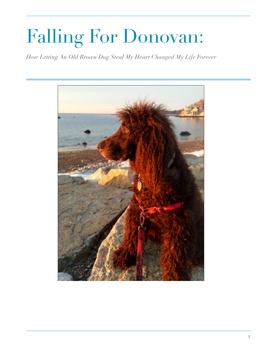# Falling For Donovan:

*How Letting An Old Brown Dog Steal My Heart Changed My Life Forever*

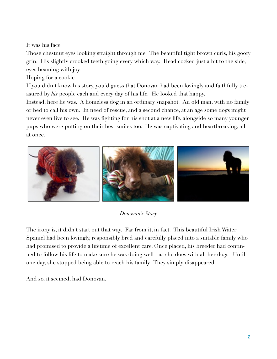It was his face.

Those chestnut eyes looking straight through me. The beautiful tight brown curls, his goofy grin. His slightly crooked teeth going every which way. Head cocked just a bit to the side, eyes beaming with joy.

Hoping for a cookie.

If you didn't know his story, you'd guess that Donovan had been lovingly and faithfully treasured by *his* people each and every day of his life. He looked that happy.

Instead, here he was. A homeless dog in an ordinary snapshot. An old man, with no family or bed to call his own. In need of rescue, and a second chance, at an age some dogs might never even live to see. He was fighting for his shot at a new life, alongside so many younger pups who were putting on their best smiles too. He was captivating and heartbreaking, all at once.



# *Donovan's Story*

The irony is, it didn't start out that way. Far from it, in fact. This beautiful Irish Water Spaniel had been lovingly, responsibly bred and carefully placed into a suitable family who had promised to provide a lifetime of excellent care. Once placed, his breeder had continued to follow his life to make sure he was doing well - as she does with all her dogs. Until one day, she stopped being able to reach his family. They simply disappeared.

And so, it seemed, had Donovan.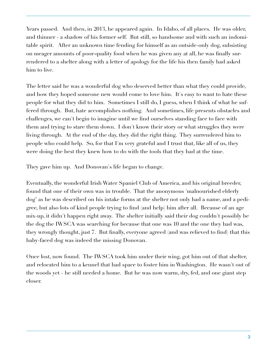Years passed. And then, in 2013, he appeared again. In Idaho, of all places. He was older, and thinner - a shadow of his former self. But still, so handsome and with such an indomitable spirit. After an unknown time fending for himself as an outside-only dog, subsisting on meager amounts of poor-quality food when he was given any at all, he was finally surrendered to a shelter along with a letter of apology for the life his then family had asked him to live.

The letter said he was a wonderful dog who deserved better than what they could provide, and how they hoped someone new would come to love him. It's easy to want to hate these people for what they did to him. Sometimes I still do, I guess, when I think of what he suffered through. But, hate accomplishes nothing. And sometimes, life presents obstacles and challenges, we can't begin to imagine until we find ourselves standing face to face with them and trying to stare them down. I don't know their story or what struggles they were living through. At the end of the day, they did the right thing. They surrendered him to people who could help. So, for that I'm very grateful and I trust that, like all of us, they were doing the best they knew how to do with the tools that they had at the time.

They gave him up. And Donovan's life began to change.

Eventually, the wonderful Irish Water Spaniel Club of America, and his original breeder, found that one of their own was in trouble. That the anonymous 'malnourished elderly dog' as he was described on his intake forms at the shelter not only had a name, and a pedigree, but also lots of kind people trying to find (and help) him after all. Because of an age mix-up, it didn't happen right away. The shelter initially said their dog couldn't possibly be the dog the IWSCA was searching for because that one was 10 and the one they had was, they wrongly thought, just 7. But finally, everyone agreed (and was relieved to find) that this baby-faced dog was indeed the missing Donovan.

Once lost, now found. The IWSCA took him under their wing, got him out of that shelter, and relocated him to a kennel that had space to foster him in Washington. He wasn't out of the woods yet - he still needed a home. But he was now warm, dry, fed, and one giant step closer.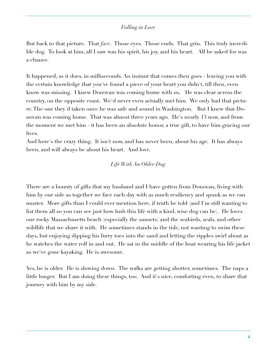### *Falling in Love*

But back to that picture. That *face*. Those eyes. Those curls. That grin. This truly incredible dog. To look at him, all I saw was his spirit, his joy, and his heart. All he asked for was a chance.

It happened, as it does, in milliseconds. An instant that comes then goes - leaving you with the certain knowledge that you've found a piece of your heart you didn't, till then, even know was missing. I knew Donovan was coming home with us. He was clear across the country, on the opposite coast. We'd never even actually met him. We only had that picture. The one they'd taken once he was safe and sound in Washington. But I knew that Donovan was coming home. That was almost three years ago. He's nearly 13 now, and from the moment we met him - it has been an absolute honor, a true gift, to have him gracing our lives.

And here's the crazy thing. It isn't now, and has never been, about his age. It has always been, and will always be about his heart. And love.

# *Life With An Older Dog*

There are a bounty of gifts that my husband and I have gotten from Donovan, living with him by our side as together we face each day with as much resiliency and spunk as we can muster. More gifts than I could ever mention here, if truth be told (and I'm still wanting to list them all so you can see just how lush this life with a kind, wise dog can be). He loves our rocky Massachusetts beach (especially the sunsets) and the seabirds, seals, and other wildlife that we share it with. He sometimes stands in the tide, not wanting to swim these days, but enjoying dipping his furry toes into the sand and letting the ripples swirl about as he watches the water roll in and out. He sat in the middle of the boat wearing his life jacket as we've gone kayaking. He is awesome.

Yes, he is older. He is slowing down. The walks are getting shorter, sometimes. The naps a little longer. But I am doing these things, too. And it's nice, comforting even, to share that journey with him by my side.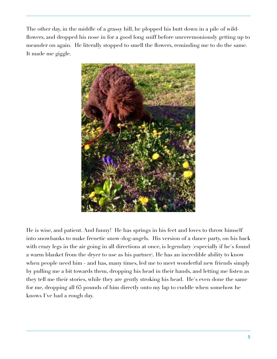The other day, in the middle of a grassy hill, he plopped his butt down in a pile of wildflowers, and dropped his nose in for a good long sniff before unceremoniously getting up to meander on again. He literally stopped to smell the flowers, reminding me to do the same. It made me giggle.



He is wise, and patient. And funny! He has springs in his feet and loves to throw himself into snowbanks to make frenetic snow-dog-angels. His version of a dance party, on his back with crazy legs in the air going in all directions at once, is legendary (especially if he's found a warm blanket from the dryer to use as his partner). He has an incredible ability to know when people need him - and has, many times, led me to meet wonderful new friends simply by pulling me a bit towards them, dropping his head in their hands, and letting me listen as they tell me their stories, while they are gently stroking his head. He's even done the same for me, dropping all 65 pounds of him directly onto my lap to cuddle when somehow he knows I've had a rough day.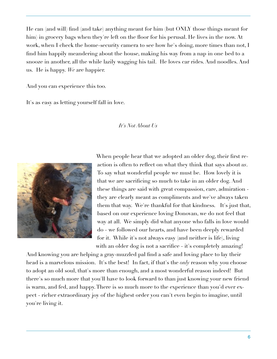He can (and will) find (and take) anything meant for him (but ONLY those things meant for him) in grocery bags when they're left on the floor for his perusal. He lives in the now. At work, when I check the home-security camera to see how he's doing, more times than not, I find him happily meandering about the house, making his way from a nap in one bed to a snooze in another, all the while lazily wagging his tail. He loves car rides. And noodles. And us. He is happy. *We* are happier.

And you can experience this too.

It's as easy as letting yourself fall in love.

#### *It's Not About Us*



When people hear that we adopted an older dog, their first reaction is often to reflect on what they think that says about *us*. To say what wonderful people we must be. How lovely it is that we are sacrificing so much to take in an older dog. And these things are said with great compassion, care, admiration they are clearly meant as compliments and we've always taken them that way. We're thankful for that kindness. It's just that, based on our experience loving Donovan, we do not feel that way at all. We simply did what anyone who falls in love would do - we followed our hearts, and have been deeply rewarded for it. While it's not always easy (and neither is life), living with an older dog is not a sacrifice - it's completely amazing!

And knowing you are helping a gray-muzzled pal find a safe and loving place to lay their head is a marvelous mission. It's the best! In fact, if that's the *only* reason why you choose to adopt an old soul, that's more than enough, and a most wonderful reason indeed! But there's so much more that you'll have to look forward to than just knowing your new friend is warm, and fed, and happy. There is so much more to the experience than you'd ever expect - richer extraordinary joy of the highest order you can't even begin to imagine, until you're living it.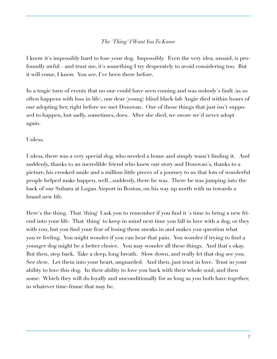# *The 'Thing' I Want You To Know*

I know it's impossibly hard to lose your dog. Impossibly. Even the very idea, unsaid, is profoundly awful - and trust me, it's something I try desperately to avoid considering too. But it will come, I know. You see, I've been there before.

In a tragic turn of events that no one could have seen coming and was nobody's fault (as so often happens with loss in life), our dear (young) blind black-lab Angie died within hours of our adopting her, right before we met Donovan. One of those things that just isn't supposed to happen, but sadly, sometimes, does. After she died, we swore we'd never adopt again.

### Unless.

Unless, there was a very special dog, who needed a home and simply wasn't finding it. And suddenly, thanks to an incredible friend who knew our story and Donovan's, thanks to a picture, his crooked smile and a million little pieces of a journey to us that lots of wonderful people helped make happen, well...suddenly, there he was. There he was jumping into the back of our Subaru at Logan Airport in Boston, on his way up north with us towards a brand new life.

Here's the thing. That 'thing' I ask you to remember if you find it 's time to bring a new friend into your life. That 'thing' to keep in mind next time you fall in love with a dog, or they with you, but you find your fear of losing them sneaks in and makes you question what you're feeling. You might wonder if you can bear that pain. You wonder if trying to find a younger dog might be a better choice. You may wonder all these things. And that's okay. But then, step back. Take a deep, long breath. Slow down, and really let that dog see you. See *them*. Let them into your heart, unguarded. And then, just trust in love. Trust in your ability to love this dog. In their ability to love you back with their whole soul, and then some. Which they will do loyally and unconditionally for as long as you both have together, in whatever time-frame that may be.